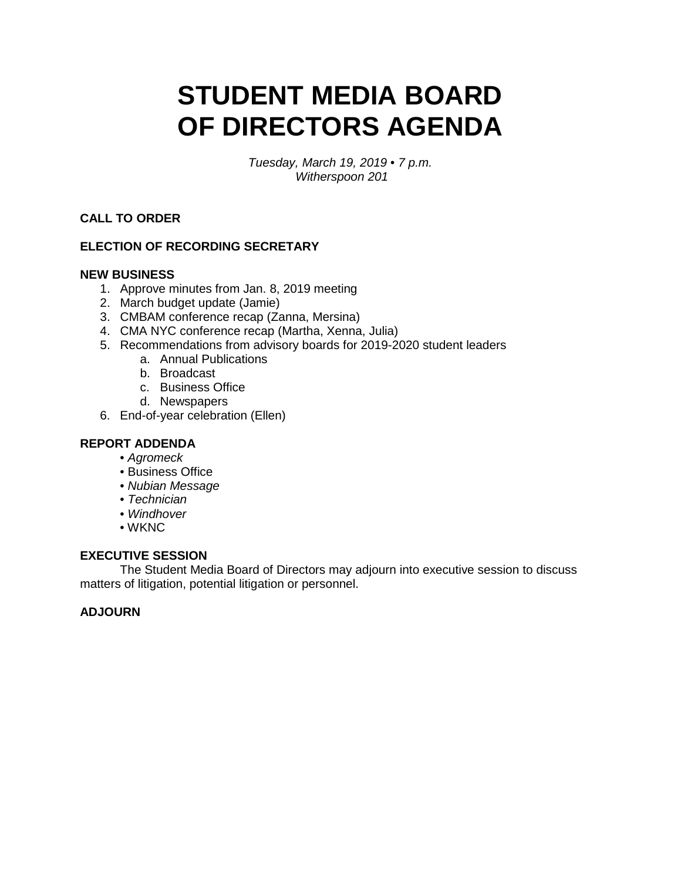# **STUDENT MEDIA BOARD OF DIRECTORS AGENDA**

 *Tuesday, March 19, 2019 • 7 p.m. Witherspoon 201* 

**CALL TO ORDER** 

## **ELECTION OF RECORDING SECRETARY**

#### **NEW BUSINESS**

- 1. Approve minutes from Jan. 8, 2019 meeting
- 2. March budget update (Jamie)
- 3. CMBAM conference recap (Zanna, Mersina)
- 4. CMA NYC conference recap (Martha, Xenna, Julia)
- 5. Recommendations from advisory boards for 2019-2020 student leaders
	- a. Annual Publications
	- b. Broadcast
	- c. Business Office
	- d. Newspapers
- 6. End-of-year celebration (Ellen)

#### **REPORT ADDENDA**

- *Agromeck*
- Business Office
- *Nubian Message*
- *Technician*
- *Windhover*
- WKNC

#### **EXECUTIVE SESSION**

 The Student Media Board of Directors may adjourn into executive session to discuss matters of litigation, potential litigation or personnel.

#### **ADJOURN**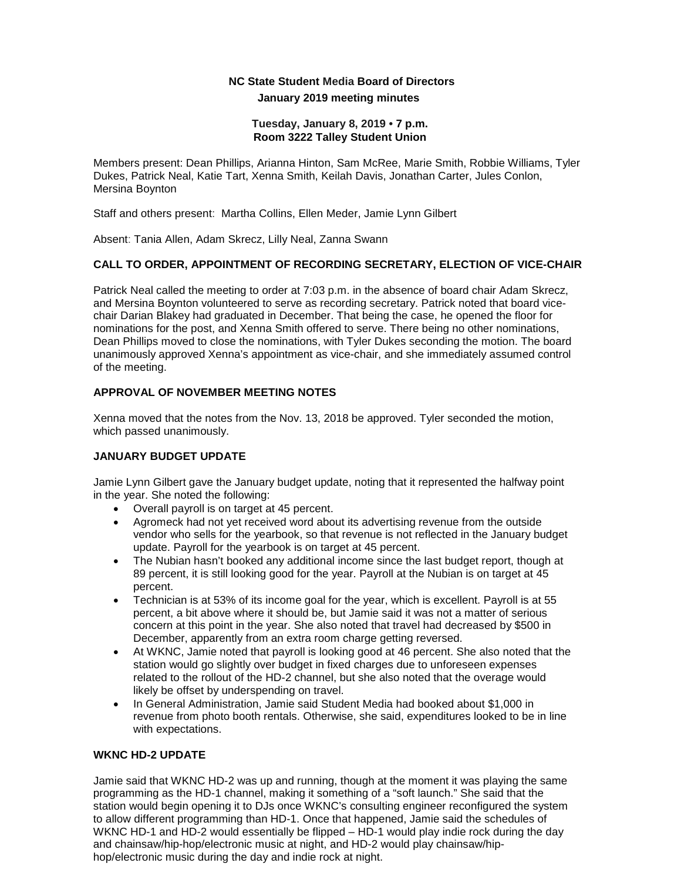### **NC State Student Media Board of Directors January 2019 meeting minutes**

#### **Tuesday, January 8, 2019 • 7 p.m. Room 3222 Talley Student Union**

 Members present: Dean Phillips, Arianna Hinton, Sam McRee, Marie Smith, Robbie Williams, Tyler Dukes, Patrick Neal, Katie Tart, Xenna Smith, Keilah Davis, Jonathan Carter, Jules Conlon, Mersina Boynton

Staff and others present: Martha Collins, Ellen Meder, Jamie Lynn Gilbert

Absent: Tania Allen, Adam Skrecz, Lilly Neal, Zanna Swann

#### **CALL TO ORDER, APPOINTMENT OF RECORDING SECRETARY, ELECTION OF VICE-CHAIR**

Patrick Neal called the meeting to order at 7:03 p.m. in the absence of board chair Adam Skrecz, and Mersina Boynton volunteered to serve as recording secretary. Patrick noted that board vicechair Darian Blakey had graduated in December. That being the case, he opened the floor for nominations for the post, and Xenna Smith offered to serve. There being no other nominations, Dean Phillips moved to close the nominations, with Tyler Dukes seconding the motion. The board unanimously approved Xenna's appointment as vice-chair, and she immediately assumed control of the meeting.

#### **APPROVAL OF NOVEMBER MEETING NOTES**

 Xenna moved that the notes from the Nov. 13, 2018 be approved. Tyler seconded the motion, which passed unanimously.

#### **JANUARY BUDGET UPDATE**

 Jamie Lynn Gilbert gave the January budget update, noting that it represented the halfway point in the year. She noted the following:

- • Overall payroll is on target at 45 percent.
- • Agromeck had not yet received word about its advertising revenue from the outside vendor who sells for the yearbook, so that revenue is not reflected in the January budget update. Payroll for the yearbook is on target at 45 percent.
- The Nubian hasn't booked any additional income since the last budget report, though at 89 percent, it is still looking good for the year. Payroll at the Nubian is on target at 45 percent.
- Technician is at 53% of its income goal for the year, which is excellent. Payroll is at 55 percent, a bit above where it should be, but Jamie said it was not a matter of serious concern at this point in the year. She also noted that travel had decreased by \$500 in December, apparently from an extra room charge getting reversed.
- At WKNC, Jamie noted that payroll is looking good at 46 percent. She also noted that the station would go slightly over budget in fixed charges due to unforeseen expenses related to the rollout of the HD-2 channel, but she also noted that the overage would likely be offset by underspending on travel.
- In General Administration, Jamie said Student Media had booked about \$1,000 in revenue from photo booth rentals. Otherwise, she said, expenditures looked to be in line with expectations.

#### **WKNC HD-2 UPDATE**

 WKNC HD-1 and HD-2 would essentially be flipped – HD-1 would play indie rock during the day Jamie said that WKNC HD-2 was up and running, though at the moment it was playing the same programming as the HD-1 channel, making it something of a "soft launch." She said that the station would begin opening it to DJs once WKNC's consulting engineer reconfigured the system to allow different programming than HD-1. Once that happened, Jamie said the schedules of and chainsaw/hip-hop/electronic music at night, and HD-2 would play chainsaw/hiphop/electronic music during the day and indie rock at night.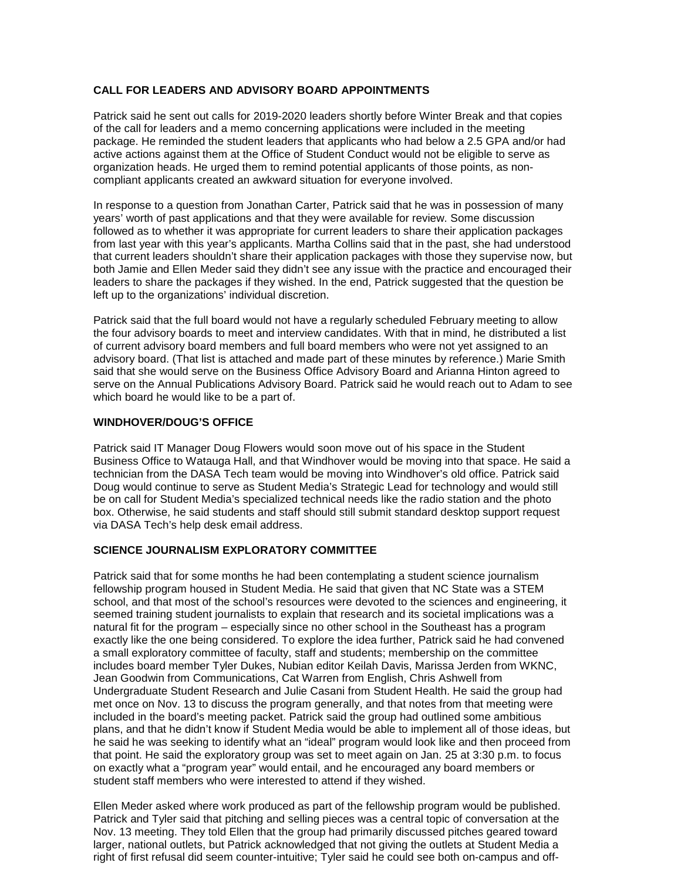#### **CALL FOR LEADERS AND ADVISORY BOARD APPOINTMENTS**

 package. He reminded the student leaders that applicants who had below a 2.5 GPA and/or had Patrick said he sent out calls for 2019-2020 leaders shortly before Winter Break and that copies of the call for leaders and a memo concerning applications were included in the meeting active actions against them at the Office of Student Conduct would not be eligible to serve as organization heads. He urged them to remind potential applicants of those points, as noncompliant applicants created an awkward situation for everyone involved.

 followed as to whether it was appropriate for current leaders to share their application packages from last year with this year's applicants. Martha Collins said that in the past, she had understood In response to a question from Jonathan Carter, Patrick said that he was in possession of many years' worth of past applications and that they were available for review. Some discussion that current leaders shouldn't share their application packages with those they supervise now, but both Jamie and Ellen Meder said they didn't see any issue with the practice and encouraged their leaders to share the packages if they wished. In the end, Patrick suggested that the question be left up to the organizations' individual discretion.

 of current advisory board members and full board members who were not yet assigned to an advisory board. (That list is attached and made part of these minutes by reference.) Marie Smith serve on the Annual Publications Advisory Board. Patrick said he would reach out to Adam to see Patrick said that the full board would not have a regularly scheduled February meeting to allow the four advisory boards to meet and interview candidates. With that in mind, he distributed a list said that she would serve on the Business Office Advisory Board and Arianna Hinton agreed to which board he would like to be a part of.

#### **WINDHOVER/DOUG'S OFFICE**

 Business Office to Watauga Hall, and that Windhover would be moving into that space. He said a Patrick said IT Manager Doug Flowers would soon move out of his space in the Student technician from the DASA Tech team would be moving into Windhover's old office. Patrick said Doug would continue to serve as Student Media's Strategic Lead for technology and would still be on call for Student Media's specialized technical needs like the radio station and the photo box. Otherwise, he said students and staff should still submit standard desktop support request via DASA Tech's help desk email address.

#### **SCIENCE JOURNALISM EXPLORATORY COMMITTEE**

 school, and that most of the school's resources were devoted to the sciences and engineering, it includes board member Tyler Dukes, Nubian editor Keilah Davis, Marissa Jerden from WKNC, plans, and that he didn't know if Student Media would be able to implement all of those ideas, but Patrick said that for some months he had been contemplating a student science journalism fellowship program housed in Student Media. He said that given that NC State was a STEM seemed training student journalists to explain that research and its societal implications was a natural fit for the program – especially since no other school in the Southeast has a program exactly like the one being considered. To explore the idea further, Patrick said he had convened a small exploratory committee of faculty, staff and students; membership on the committee Jean Goodwin from Communications, Cat Warren from English, Chris Ashwell from Undergraduate Student Research and Julie Casani from Student Health. He said the group had met once on Nov. 13 to discuss the program generally, and that notes from that meeting were included in the board's meeting packet. Patrick said the group had outlined some ambitious he said he was seeking to identify what an "ideal" program would look like and then proceed from that point. He said the exploratory group was set to meet again on Jan. 25 at 3:30 p.m. to focus on exactly what a "program year" would entail, and he encouraged any board members or student staff members who were interested to attend if they wished.

Ellen Meder asked where work produced as part of the fellowship program would be published. Patrick and Tyler said that pitching and selling pieces was a central topic of conversation at the Nov. 13 meeting. They told Ellen that the group had primarily discussed pitches geared toward larger, national outlets, but Patrick acknowledged that not giving the outlets at Student Media a right of first refusal did seem counter-intuitive; Tyler said he could see both on-campus and off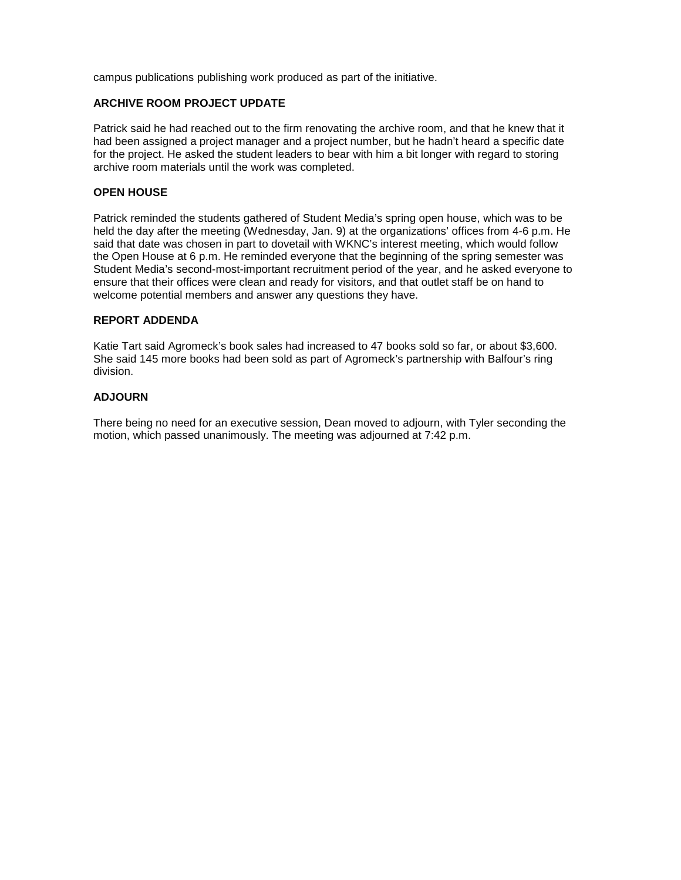campus publications publishing work produced as part of the initiative.

#### **ARCHIVE ROOM PROJECT UPDATE**

 for the project. He asked the student leaders to bear with him a bit longer with regard to storing Patrick said he had reached out to the firm renovating the archive room, and that he knew that it had been assigned a project manager and a project number, but he hadn't heard a specific date archive room materials until the work was completed.

#### **OPEN HOUSE**

 said that date was chosen in part to dovetail with WKNC's interest meeting, which would follow Patrick reminded the students gathered of Student Media's spring open house, which was to be held the day after the meeting (Wednesday, Jan. 9) at the organizations' offices from 4-6 p.m. He the Open House at 6 p.m. He reminded everyone that the beginning of the spring semester was Student Media's second-most-important recruitment period of the year, and he asked everyone to ensure that their offices were clean and ready for visitors, and that outlet staff be on hand to welcome potential members and answer any questions they have.

#### **REPORT ADDENDA**

 Katie Tart said Agromeck's book sales had increased to 47 books sold so far, or about \$3,600. She said 145 more books had been sold as part of Agromeck's partnership with Balfour's ring division.

#### **ADJOURN**

 There being no need for an executive session, Dean moved to adjourn, with Tyler seconding the motion, which passed unanimously. The meeting was adjourned at 7:42 p.m.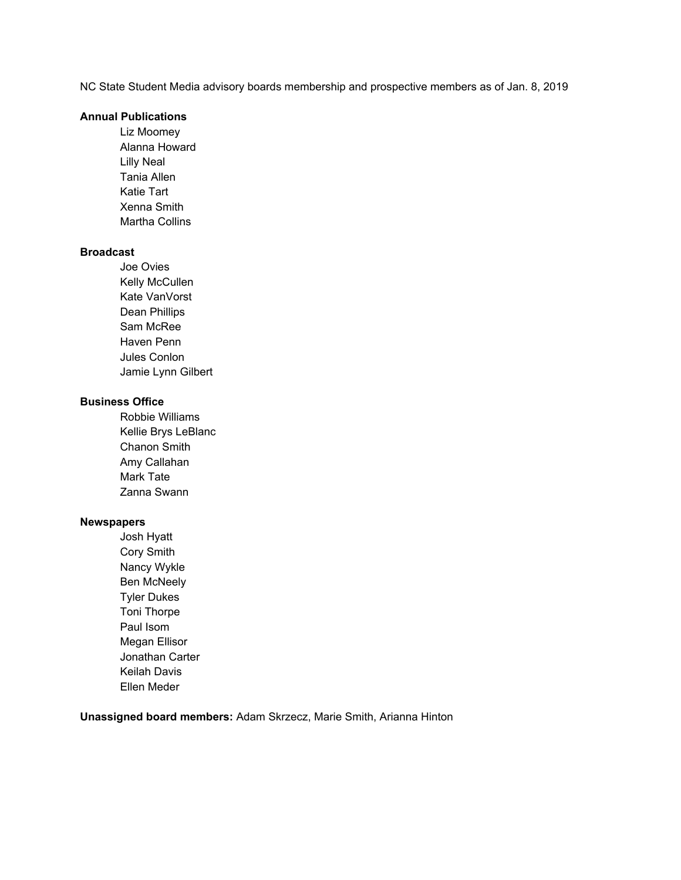NC State Student Media advisory boards membership and prospective members as of Jan. 8, 2019

#### **Annual Publications**

Liz Moomey Alanna Howard Lilly Neal Tania Allen Katie Tart Xenna Smith Martha Collins 

#### **Broadcast**

 Jamie Lynn Gilbert Joe Ovies Kelly McCullen Kate VanVorst Dean Phillips Sam McRee Haven Penn Jules Conlon 

#### **Business Office**

 Kellie Brys LeBlanc Robbie Williams Chanon Smith Amy Callahan Mark Tate Zanna Swann 

#### **Newspapers**

Josh Hyatt Cory Smith Nancy Wykle Ben McNeely Tyler Dukes Toni Thorpe Paul Isom Megan Ellisor Jonathan Carter Keilah Davis Ellen Meder

 **Unassigned board members:** Adam Skrzecz, Marie Smith, Arianna Hinton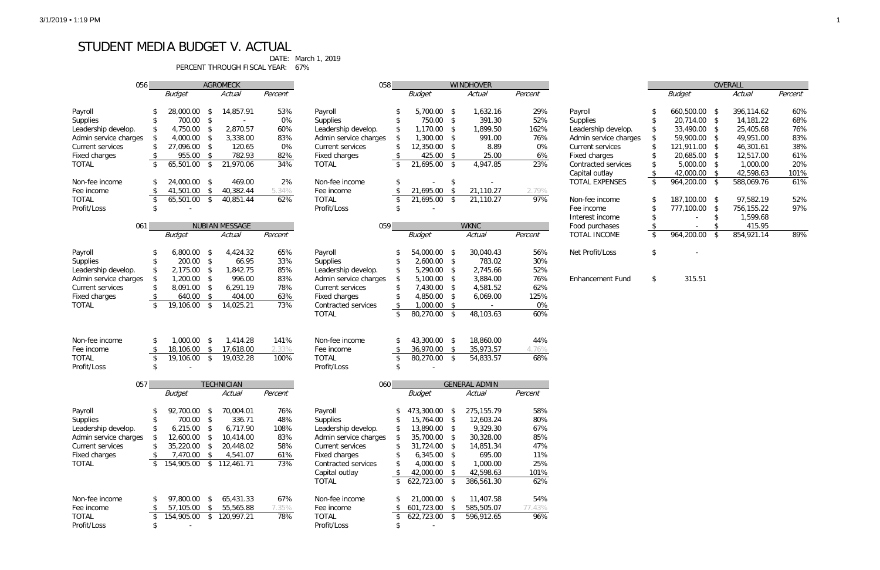## STUDENT MEDIA BUDGET V. ACTUAL

PERCENT THROUGH FISCAL YEAR: 67%

DATE: March 1, 2019

| OVERALL         |            |    |            |         |  |  |  |  |
|-----------------|------------|----|------------|---------|--|--|--|--|
|                 | Budget     |    | Actual     | Percent |  |  |  |  |
|                 |            |    |            |         |  |  |  |  |
| \$              | 660,500.00 | \$ | 396.114.62 | 60%     |  |  |  |  |
| \$              | 20.714.00  | \$ | 14,181.22  | 68%     |  |  |  |  |
| \$              | 33,490.00  | \$ | 25,405.68  | 76%     |  |  |  |  |
| \$              | 59,900.00  | \$ | 49,951.00  | 83%     |  |  |  |  |
| \$              | 121,911.00 | \$ | 46.301.61  | 38%     |  |  |  |  |
| \$              | 20,685.00  | \$ | 12,517.00  | 61%     |  |  |  |  |
| \$              | 5,000.00   | \$ | 1,000.00   | 20%     |  |  |  |  |
| \$              | 42,000.00  | \$ | 42.598.63  | 101%    |  |  |  |  |
| $\overline{\$}$ | 964,200.00 | \$ | 588.069.76 | 61%     |  |  |  |  |
|                 |            |    |            |         |  |  |  |  |
| \$              | 187,100.00 | \$ | 97,582.19  | 52%     |  |  |  |  |
| \$              | 777,100.00 | \$ | 756,155.22 | 97%     |  |  |  |  |
| \$              |            | \$ | 1,599.68   |         |  |  |  |  |
| \$              |            | \$ | 415.95     |         |  |  |  |  |
| \$              | 964,200.00 | \$ | 854,921.14 | 89%     |  |  |  |  |
|                 |            |    |            |         |  |  |  |  |

| 056                   |                          |                          |                         | <b>AGROMECK</b>       |         | 058                     |                                 |                |               | <b>WINDHOVER</b>     |         |                         |                       |                         | OVERALL |
|-----------------------|--------------------------|--------------------------|-------------------------|-----------------------|---------|-------------------------|---------------------------------|----------------|---------------|----------------------|---------|-------------------------|-----------------------|-------------------------|---------|
|                       |                          | <b>Budget</b>            |                         | Actual                | Percent |                         |                                 | <b>Budget</b>  |               | Actual               | Percent |                         | <b>Budget</b>         |                         | Actual  |
|                       |                          |                          |                         |                       |         |                         |                                 |                |               |                      |         |                         |                       |                         |         |
| Payroll               |                          | 28,000.00                | -\$                     | 14,857.91             | 53%     | Payroll                 |                                 | 5,700.00 \$    |               | 1,632.16             | 29%     | Payroll                 | 660,500.00 \$         |                         | 396,11  |
| Supplies              |                          | 700.00                   | -\$                     | $\sim$                | 0%      | Supplies                | \$                              | 750.00 \$      |               | 391.30               | 52%     | Supplies                | 20,714.00 \$          |                         | 14,18   |
| Leadership develop.   |                          | 4,750.00                 | -\$                     | 2,870.57              | 60%     | Leadership develop.     | \$                              | $1,170.00$ \$  |               | 1,899.50             | 162%    | Leadership develop.     | \$<br>33,490.00 \$    |                         | 25,40   |
| Admin service charges |                          | 4,000.00                 | -\$                     | 3,338.00              | 83%     | Admin service charges   | \$                              | 1,300.00       | $\sqrt{3}$    | 991.00               | 76%     | Admin service charges   | \$<br>59,900.00 \$    |                         | 49,95   |
| Current services      |                          | 27,096.00                | -\$                     | 120.65                | 0%      | Current services        | \$                              | 12,350.00 \$   |               | 8.89                 | 0%      | Current services        | 121,911.00 \$         |                         | 46,30   |
| <b>Fixed charges</b>  |                          | 955.00                   | - \$                    | 782.93                | 82%     | Fixed charges           | \$                              | 425.00 \$      |               | 25.00                | 6%      | Fixed charges           | 20,685.00 \$          |                         | 12,51   |
| <b>TOTAL</b>          | \$                       | 65,501.00                | $\sqrt{3}$              | 21,970.06             | 34%     | <b>TOTAL</b>            |                                 | 21,695.00 \$   |               | 4,947.85             | 23%     |                         | $5,000.00$ \$         |                         | 1,00    |
|                       |                          |                          |                         |                       |         |                         | \$                              |                |               |                      |         | Contracted services     | 42,000.00 \$          |                         | 42,59   |
|                       |                          |                          |                         |                       |         |                         |                                 |                |               |                      |         | Capital outlay          |                       |                         |         |
| Non-fee income        |                          | 24,000.00 \$             |                         | 469.00                | 2%      | Non-fee income          | \$                              |                | \$            |                      |         | <b>TOTAL EXPENSES</b>   | \$<br>$964,200.00$ \$ |                         | 588,06  |
| Fee income            |                          | 41,501.00                | -\$                     | 40,382.44             | 5.34%   | Fee income              |                                 | 21,695.00      | \$            | 21,110.27            | 2.79%   |                         |                       |                         |         |
| <b>TOTAL</b>          | \$                       | $65, 501.00$ \$          |                         | 40,851.44             | 62%     | <b>TOTAL</b>            | \$                              | 21,695.00      | $\mathsf{\$}$ | 21,110.27            | 97%     | Non-fee income          | 187,100.00 \$         |                         | 97,58   |
| Profit/Loss           | \$                       |                          |                         |                       |         | Profit/Loss             | \$                              |                |               |                      |         | Fee income              | 777,100.00 \$         |                         | 756,15  |
|                       |                          |                          |                         |                       |         |                         |                                 |                |               |                      |         | Interest income         |                       | -\$                     | 1,59    |
| 061                   |                          |                          |                         | <b>NUBIAN MESSAGE</b> |         | 059                     |                                 |                |               | <b>WKNC</b>          |         | Food purchases          | \$                    | \$                      | 41      |
|                       |                          | <b>Budget</b>            |                         | Actual                | Percent |                         |                                 | <b>Budget</b>  |               | Actual               | Percent | <b>TOTAL INCOME</b>     | \$<br>964,200.00      | $\sqrt[6]{\frac{1}{2}}$ | 854,92  |
|                       |                          |                          |                         |                       |         |                         |                                 |                |               |                      |         |                         |                       |                         |         |
| Payroll               | \$                       | 6,800.00                 | -\$                     | 4,424.32              | 65%     | Payroll                 |                                 | 54,000.00 \$   |               | 30,040.43            | 56%     | Net Profit/Loss         | \$                    |                         |         |
| Supplies              | £.                       | 200.00                   | $\sqrt{3}$              | 66.95                 | 33%     | <b>Supplies</b>         | \$                              | $2,600.00$ \$  |               | 783.02               | 30%     |                         |                       |                         |         |
| Leadership develop.   |                          | 2,175.00                 | -\$                     | 1,842.75              | 85%     | Leadership develop.     | \$                              | 5,290.00 \$    |               | 2,745.66             | 52%     |                         |                       |                         |         |
| Admin service charges | \$                       | 1,200.00                 | $\sqrt{3}$              | 996.00                | 83%     | Admin service charges   | \$                              | 5,100.00 \$    |               | 3,884.00             | 76%     | <b>Enhancement Fund</b> | \$<br>315.51          |                         |         |
| Current services      | \$                       | 8,091.00                 | -\$                     | 6,291.19              | 78%     | <b>Current services</b> | \$                              | 7,430.00 \$    |               | 4,581.52             | 62%     |                         |                       |                         |         |
| Fixed charges         | <sup>\$</sup>            | 640.00                   | $\sqrt{3}$              | 404.00                | 63%     | Fixed charges           |                                 | 4,850.00 \$    |               | 6,069.00             | 125%    |                         |                       |                         |         |
| <b>TOTAL</b>          | $\overline{\mathcal{E}}$ | 19,106.00                | $\sqrt{3}$              | 14,025.21             | 73%     | Contracted services     | \$                              | $1,000.00$ \$  |               |                      | 0%      |                         |                       |                         |         |
|                       |                          |                          |                         |                       |         | <b>TOTAL</b>            | \$                              | 80,270.00 \$   |               | 48,103.63            | 60%     |                         |                       |                         |         |
|                       |                          |                          |                         |                       |         |                         |                                 |                |               |                      |         |                         |                       |                         |         |
|                       |                          |                          |                         |                       |         |                         |                                 |                |               |                      |         |                         |                       |                         |         |
| Non-fee income        | \$                       | 1,000.00                 | - \$                    | 1,414.28              | 141%    | Non-fee income          | S                               | 43,300.00 \$   |               | 18,860.00            | 44%     |                         |                       |                         |         |
| Fee income            | \$                       | 18,106.00                | $\sqrt{3}$              | 17,618.00             | 2.33%   | Fee income              | \$                              | 36,970.00 \$   |               | 35,973.57            | 4.76%   |                         |                       |                         |         |
| <b>TOTAL</b>          | \$                       | 19,106.00                | $\sqrt{3}$              | 19,032.28             | 100%    | <b>TOTAL</b>            | \$                              | $80,270.00$ \$ |               | 54,833.57            | 68%     |                         |                       |                         |         |
| Profit/Loss           |                          |                          |                         |                       |         | Profit/Loss             | \$                              |                |               |                      |         |                         |                       |                         |         |
|                       |                          |                          |                         |                       |         |                         |                                 |                |               |                      |         |                         |                       |                         |         |
| 057                   |                          |                          |                         | <b>TECHNICIAN</b>     |         | 060                     |                                 |                |               | <b>GENERAL ADMIN</b> |         |                         |                       |                         |         |
|                       |                          | <b>Budget</b>            |                         | Actual                | Percent |                         |                                 | <b>Budget</b>  |               | Actual               | Percent |                         |                       |                         |         |
|                       |                          |                          |                         |                       |         |                         |                                 |                |               |                      |         |                         |                       |                         |         |
| Payroll               | \$                       | 92,700.00 \$             |                         | 70,004.01             | 76%     | Payroll                 |                                 | 473,300.00 \$  |               | 275, 155. 79         | 58%     |                         |                       |                         |         |
| Supplies              | \$                       | 700.00 \$                |                         | 336.71                | 48%     | <b>Supplies</b>         |                                 | 15,764.00 \$   |               | 12,603.24            | 80%     |                         |                       |                         |         |
| Leadership develop.   |                          | $6,215.00$ \$            |                         | 6,717.90              | 108%    | Leadership develop.     | \$                              | 13,890.00 \$   |               | 9,329.30             | 67%     |                         |                       |                         |         |
| Admin service charges | S.                       | 12,600.00                | - \$                    | 10,414.00             | 83%     | Admin service charges   | \$                              | 35,700.00 \$   |               | 30,328.00            | 85%     |                         |                       |                         |         |
| Current services      | \$                       | 35,220.00                | -\$                     | 20,448.02             | 58%     | Current services        | \$                              | 31,724.00 \$   |               | 14,851.34            | 47%     |                         |                       |                         |         |
| <b>Fixed charges</b>  | \$                       | 7,470.00 \$              |                         | 4,541.07              | 61%     | Fixed charges           | \$                              | $6,345.00$ \$  |               | 695.00               | 11%     |                         |                       |                         |         |
| <b>TOTAL</b>          | \$                       | 154,905.00 \$ 112,461.71 |                         |                       | 73%     | Contracted services     | \$                              | 4,000.00 \$    |               | 1,000.00             | 25%     |                         |                       |                         |         |
|                       |                          |                          |                         |                       |         | Capital outlay          | \$                              | 42,000.00 \$   |               | 42,598.63            | 101%    |                         |                       |                         |         |
|                       |                          |                          |                         |                       |         | <b>TOTAL</b>            | $\frac{1}{2}$                   | 622,723.00 \$  |               | 386,561.30           | 62%     |                         |                       |                         |         |
|                       |                          |                          |                         |                       |         |                         |                                 |                |               |                      |         |                         |                       |                         |         |
| Non-fee income        | \$                       | 97,800.00 \$             |                         | 65,431.33             | 67%     | Non-fee income          |                                 | 21,000.00 \$   |               | 11,407.58            | 54%     |                         |                       |                         |         |
| Fee income            | \$                       | 57,105.00                | $\sqrt[6]{\frac{1}{2}}$ | 55,565.88             | 7.35%   | Fee income              | \$                              | 601,723.00     | - \$          | 585,505.07           | 77.43%  |                         |                       |                         |         |
| <b>TOTAL</b>          | $\sqrt[6]{2}$            | 154,905.00 \$ 120,997.21 |                         |                       | 78%     | <b>TOTAL</b>            | $\overline{\boldsymbol{\zeta}}$ | 622,723.00 \$  |               | 596,912.65           | 96%     |                         |                       |                         |         |
| Profit/Loss           | \$                       |                          |                         |                       |         | Profit/Loss             | \$                              |                |               |                      |         |                         |                       |                         |         |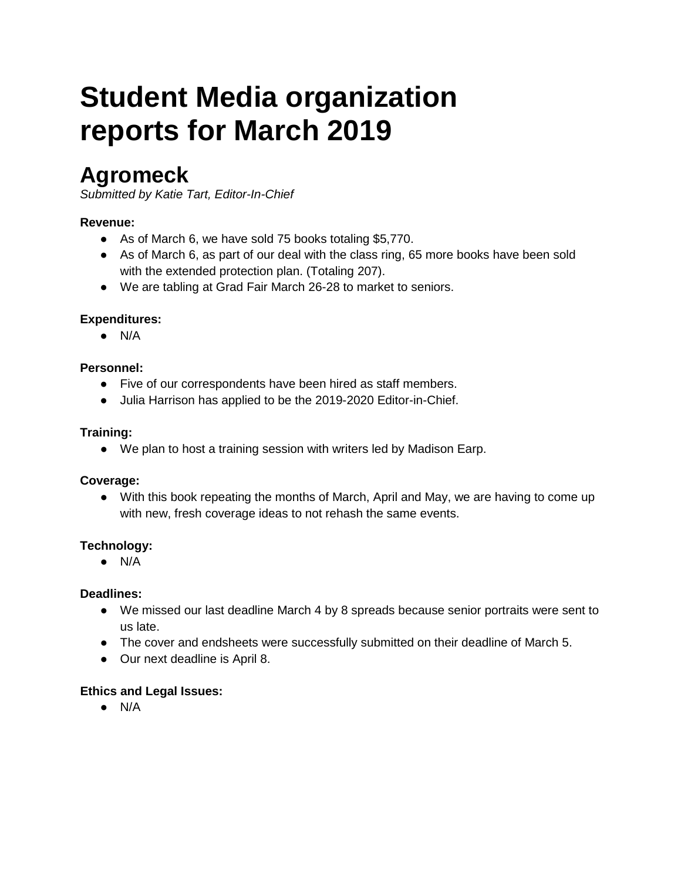# **reports for March 2019 Student Media organization**

## **Agromeck**

*Submitted by Katie Tart, Editor-In-Chief* 

## **Revenue:**

- As of March 6, we have sold 75 books totaling \$5,770.
- As of March 6, as part of our deal with the class ring, 65 more books have been sold with the extended protection plan. (Totaling 207).
- We are tabling at Grad Fair March 26-28 to market to seniors.

## **Expenditures:**

● N/A

## **Personnel:**

- Five of our correspondents have been hired as staff members.
- ● Julia Harrison has applied to be the 2019-2020 Editor-in-Chief.

## **Training:**

• We plan to host a training session with writers led by Madison Earp.

## **Coverage:**

• With this book repeating the months of March, April and May, we are having to come up with new, fresh coverage ideas to not rehash the same events.

## **Technology:**

● N/A

## **Deadlines:**

- We missed our last deadline March 4 by 8 spreads because senior portraits were sent to us late.
- The cover and endsheets were successfully submitted on their deadline of March 5.
- Our next deadline is April 8.

## **Ethics and Legal Issues:**

● N/A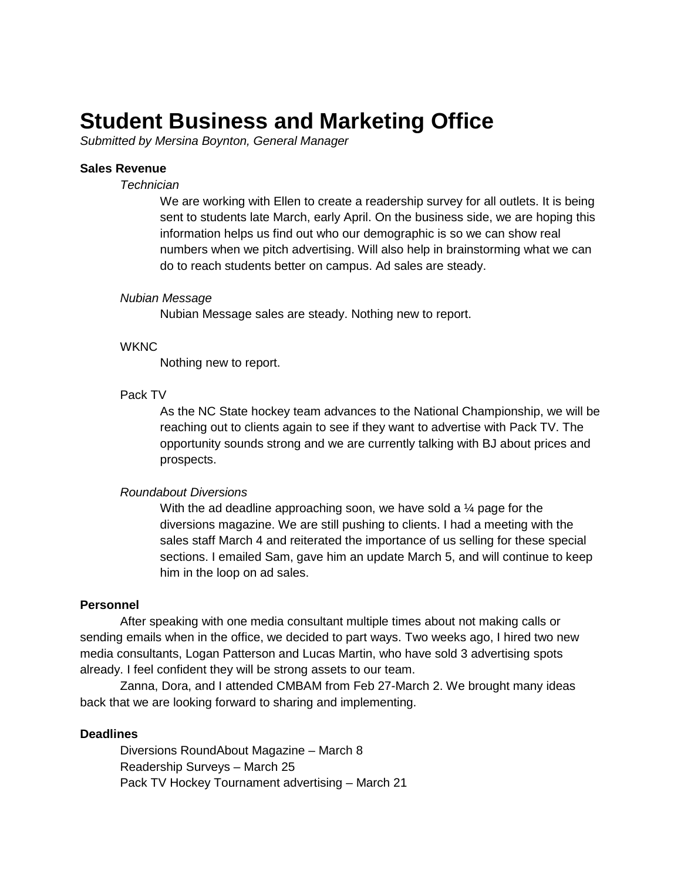## **Student Business and Marketing Office**

*Submitted by Mersina Boynton, General Manager* 

#### **Sales Revenue**

#### *Technician*

 information helps us find out who our demographic is so we can show real do to reach students better on campus. Ad sales are steady. We are working with Ellen to create a readership survey for all outlets. It is being sent to students late March, early April. On the business side, we are hoping this numbers when we pitch advertising. Will also help in brainstorming what we can

#### *Nubian Message*

Nubian Message sales are steady. Nothing new to report.

#### **WKNC**

Nothing new to report.

#### Pack TV

 reaching out to clients again to see if they want to advertise with Pack TV. The As the NC State hockey team advances to the National Championship, we will be opportunity sounds strong and we are currently talking with BJ about prices and prospects.

#### *Roundabout Diversions*

With the ad deadline approaching soon, we have sold a 1⁄4 page for the diversions magazine. We are still pushing to clients. I had a meeting with the sales staff March 4 and reiterated the importance of us selling for these special sections. I emailed Sam, gave him an update March 5, and will continue to keep him in the loop on ad sales.

#### **Personnel**

After speaking with one media consultant multiple times about not making calls or sending emails when in the office, we decided to part ways. Two weeks ago, I hired two new media consultants, Logan Patterson and Lucas Martin, who have sold 3 advertising spots already. I feel confident they will be strong assets to our team.

Zanna, Dora, and I attended CMBAM from Feb 27-March 2. We brought many ideas back that we are looking forward to sharing and implementing.

#### **Deadlines**

 Diversions RoundAbout Magazine – March 8 Readership Surveys – March 25 Pack TV Hockey Tournament advertising – March 21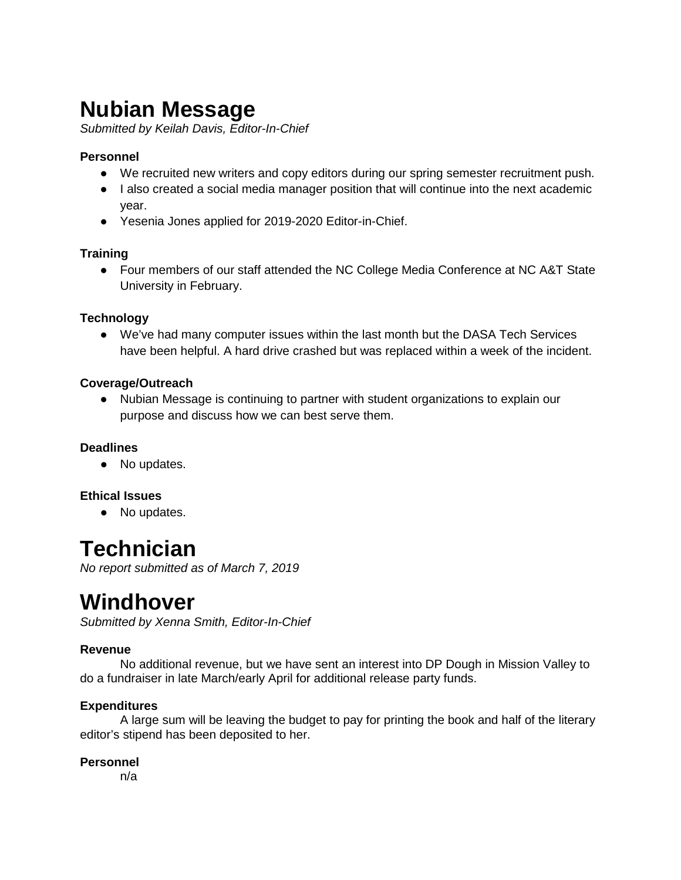## **Nubian Message**

*Submitted by Keilah Davis, Editor-In-Chief* 

## **Personnel**

- ● We recruited new writers and copy editors during our spring semester recruitment push.
- I also created a social media manager position that will continue into the next academic year.
- ● Yesenia Jones applied for 2019-2020 Editor-in-Chief.

## **Training**

● Four members of our staff attended the NC College Media Conference at NC A&T State University in February.

## **Technology**

● We've had many computer issues within the last month but the DASA Tech Services have been helpful. A hard drive crashed but was replaced within a week of the incident.

## **Coverage/Outreach**

● Nubian Message is continuing to partner with student organizations to explain our purpose and discuss how we can best serve them.

## **Deadlines**

• No updates.

## **Ethical Issues**

• No updates.

## **Technician**

*No report submitted as of March 7, 2019* 

## **Windhover**

*Submitted by Xenna Smith, Editor-In-Chief* 

## **Revenue**

No additional revenue, but we have sent an interest into DP Dough in Mission Valley to do a fundraiser in late March/early April for additional release party funds.

## **Expenditures**

 A large sum will be leaving the budget to pay for printing the book and half of the literary editor's stipend has been deposited to her.

## **Personnel**

n/a